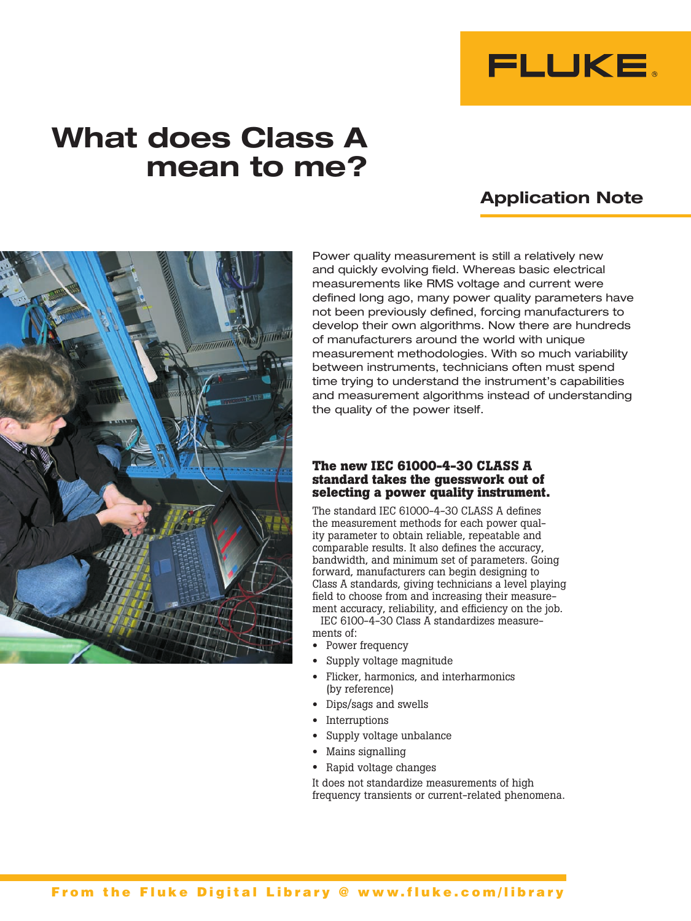

# **What does Class A mean to me?**

## **Application Note**



Power quality measurement is still a relatively new and quickly evolving field. Whereas basic electrical measurements like RMS voltage and current were defined long ago, many power quality parameters have not been previously defined, forcing manufacturers to develop their own algorithms. Now there are hundreds of manufacturers around the world with unique measurement methodologies. With so much variability between instruments, technicians often must spend time trying to understand the instrument's capabilities and measurement algorithms instead of understanding the quality of the power itself.

#### **The new IEC 61000-4-30 CLASS A standard takes the guesswork out of selecting a power quality instrument.**

The standard IEC 61000-4-30 CLASS A defines the measurement methods for each power quality parameter to obtain reliable, repeatable and comparable results. It also defines the accuracy, bandwidth, and minimum set of parameters. Going forward, manufacturers can begin designing to Class A standards, giving technicians a level playing field to choose from and increasing their measurement accuracy, reliability, and efficiency on the job.

IEC 6100-4-30 Class A standardizes measurements of:

- Power frequency
- Supply voltage magnitude
- Flicker, harmonics, and interharmonics (by reference)
- Dips/sags and swells
- Interruptions
- Supply voltage unbalance
- Mains signalling
- Rapid voltage changes

It does not standardize measurements of high frequency transients or current-related phenomena.